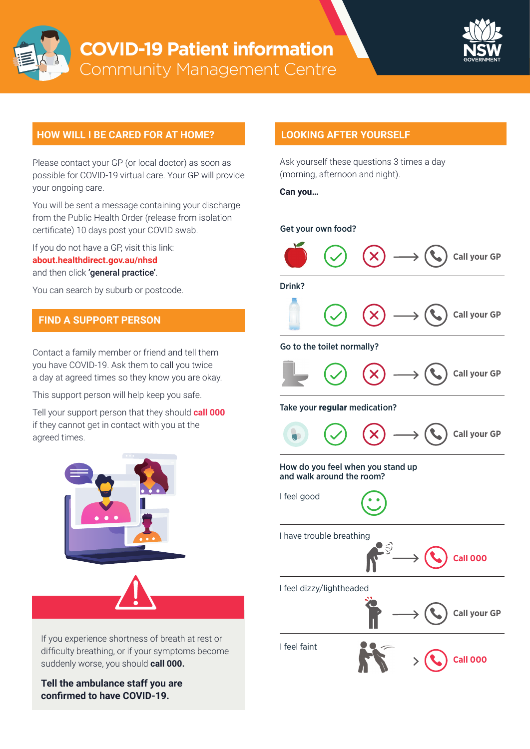



## **HOW WILL I BE CARED FOR AT HOME? LOOKING AFTER YOURSELF**

Please contact your GP (or local doctor) as soon as possible for COVID-19 virtual care. Your GP will provide your ongoing care.

You will be sent a message containing your discharge from the Public Health Order (release from isolation certificate) 10 days post your COVID swab.

If you do not have a GP, visit this link: **[about.healthdirect.gov.au/nhsd](https://about.healthdirect.gov.au/nhsd)** and then click 'general practice'.

You can search by suburb or postcode.

## **FIND A SUPPORT PERSON**

Contact a family member or friend and tell them you have COVID-19. Ask them to call you twice a day at agreed times so they know you are okay.

This support person will help keep you safe.

Tell your support person that they should **call 000** if they cannot get in contact with you at the agreed times.





If you experience shortness of breath at rest or difficulty breathing, or if your symptoms become suddenly worse, you should **call 000.**

**Tell the ambulance staff you are confirmed to have COVID-19.**

Ask yourself these questions 3 times a day (morning, afternoon and night).

**Can you…**

### Get your own food?



Drink?



### Go to the toilet normally?



#### Take your **regular** medication?